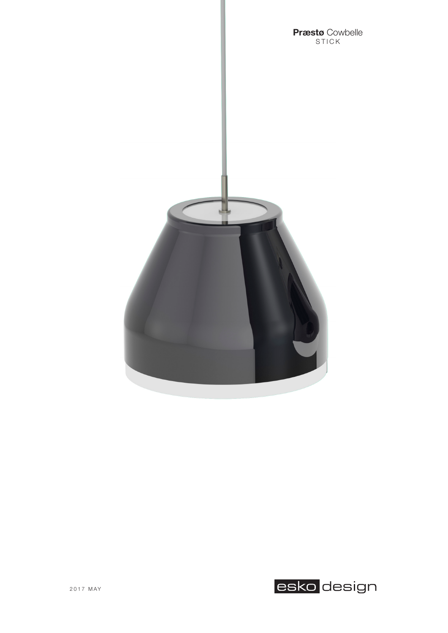